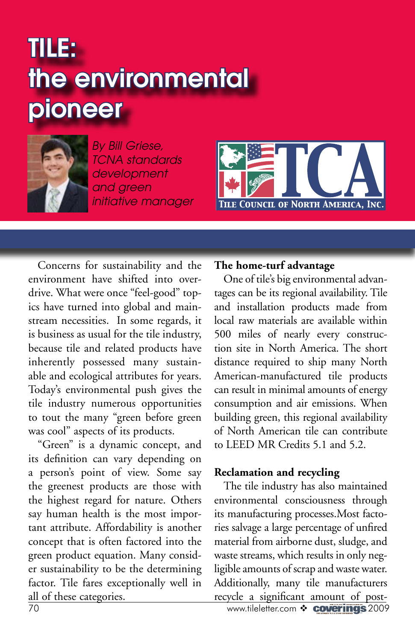# TILE: the environmental pioneer



*By Bill Griese, TCNA standards development and green initiative manager*



Concerns for sustainability and the environment have shifted into overdrive. What were once "feel-good" topics have turned into global and mainstream necessities. In some regards, it is business as usual for the tile industry, because tile and related products have inherently possessed many sustainable and ecological attributes for years. Today's environmental push gives the tile industry numerous opportunities to tout the many "green before green was cool" aspects of its products.

"Green" is a dynamic concept, and its definition can vary depending on a person's point of view. Some say the greenest products are those with the highest regard for nature. Others say human health is the most important attribute. Affordability is another concept that is often factored into the green product equation. Many consider sustainability to be the determining factor. Tile fares exceptionally well in all of these categories.

#### **The home-turf advantage**

One of tile's big environmental advantages can be its regional availability. Tile and installation products made from local raw materials are available within 500 miles of nearly every construction site in North America. The short distance required to ship many North American-manufactured tile products can result in minimal amounts of energy consumption and air emissions. When building green, this regional availability of North American tile can contribute to LEED MR Credits 5.1 and 5.2.

#### **Reclamation and recycling**

The tile industry has also maintained environmental consciousness through its manufacturing processes.Most factories salvage a large percentage of unfired material from airborne dust, sludge, and waste streams, which results in only negligible amounts of scrap and waste water. Additionally, many tile manufacturers recycle a significant amount of post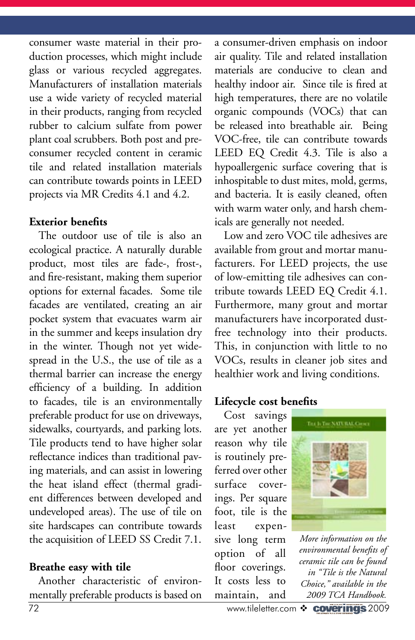consumer waste material in their production processes, which might include glass or various recycled aggregates. Manufacturers of installation materials use a wide variety of recycled material in their products, ranging from recycled rubber to calcium sulfate from power plant coal scrubbers. Both post and preconsumer recycled content in ceramic tile and related installation materials can contribute towards points in LEED projects via MR Credits 4.1 and 4.2.

#### **Exterior benefits**

The outdoor use of tile is also an ecological practice. A naturally durable product, most tiles are fade-, frost-, and fire-resistant, making them superior options for external facades. Some tile facades are ventilated, creating an air pocket system that evacuates warm air in the summer and keeps insulation dry in the winter. Though not yet widespread in the U.S., the use of tile as a thermal barrier can increase the energy efficiency of a building. In addition to facades, tile is an environmentally preferable product for use on driveways, sidewalks, courtyards, and parking lots. Tile products tend to have higher solar reflectance indices than traditional paving materials, and can assist in lowering the heat island effect (thermal gradient differences between developed and undeveloped areas). The use of tile on site hardscapes can contribute towards the acquisition of LEED SS Credit 7.1.

### **Breathe easy with tile**

Another characteristic of environmentally preferable products is based on a consumer-driven emphasis on indoor air quality. Tile and related installation materials are conducive to clean and healthy indoor air. Since tile is fired at high temperatures, there are no volatile organic compounds (VOCs) that can be released into breathable air. Being VOC-free, tile can contribute towards LEED EQ Credit 4.3. Tile is also a hypoallergenic surface covering that is inhospitable to dust mites, mold, germs, and bacteria. It is easily cleaned, often with warm water only, and harsh chemicals are generally not needed.

Low and zero VOC tile adhesives are available from grout and mortar manufacturers. For LEED projects, the use of low-emitting tile adhesives can contribute towards LEED EQ Credit 4.1. Furthermore, many grout and mortar manufacturers have incorporated dustfree technology into their products. This, in conjunction with little to no VOCs, results in cleaner job sites and healthier work and living conditions.

## **Lifecycle cost benefits**

Cost savings are yet another reason why tile is routinely preferred over other surface coverings. Per square foot, tile is the least expensive long term option of all floor coverings. It costs less to maintain, and



*More information on the environmental benefits of ceramic tile can be found in "Tile is the Natural Choice," available in the 2009 TCA Handbook.*